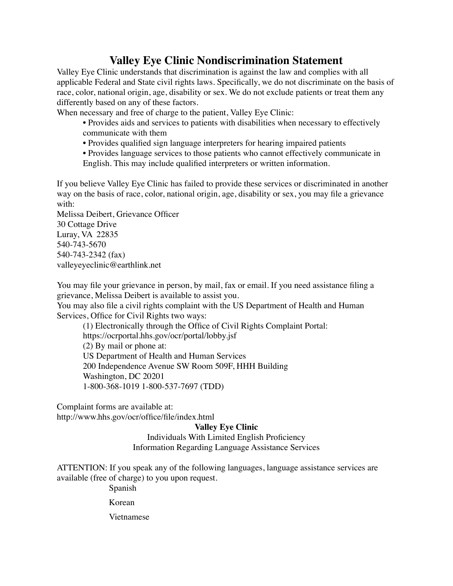## **Valley Eye Clinic Nondiscrimination Statement**

Valley Eye Clinic understands that discrimination is against the law and complies with all applicable Federal and State civil rights laws. Specifically, we do not discriminate on the basis of race, color, national origin, age, disability or sex. We do not exclude patients or treat them any differently based on any of these factors.

When necessary and free of charge to the patient, Valley Eye Clinic:

- Provides aids and services to patients with disabilities when necessary to effectively communicate with them
- Provides qualified sign language interpreters for hearing impaired patients
- Provides language services to those patients who cannot effectively communicate in English. This may include qualified interpreters or written information.

If you believe Valley Eye Clinic has failed to provide these services or discriminated in another way on the basis of race, color, national origin, age, disability or sex, you may file a grievance with:

Melissa Deibert, Grievance Officer 30 Cottage Drive Luray, VA 22835 540-743-5670 540-743-2342 (fax) valleyeyeclinic@earthlink.net

You may file your grievance in person, by mail, fax or email. If you need assistance filing a grievance, Melissa Deibert is available to assist you.

You may also file a civil rights complaint with the US Department of Health and Human Services, Office for Civil Rights two ways:

(1) Electronically through the Office of Civil Rights Complaint Portal: https://ocrportal.hhs.gov/ocr/portal/lobby.jsf (2) By mail or phone at: US Department of Health and Human Services 200 Independence Avenue SW Room 509F, HHH Building Washington, DC 20201 1-800-368-1019 1-800-537-7697 (TDD)

Complaint forms are available at:

http://www.hhs.gov/ocr/office/file/index.html

**Valley Eye Clinic**

Individuals With Limited English Proficiency

Information Regarding Language Assistance Services

ATTENTION: If you speak any of the following languages, language assistance services are available (free of charge) to you upon request.

Spanish

Korean

Vietnamese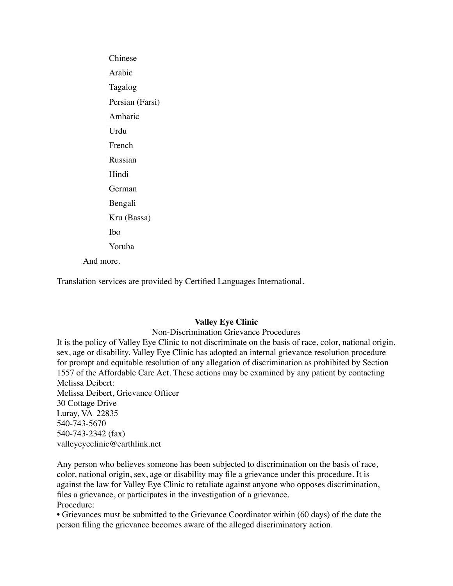Chinese Arabic Tagalog Persian (Farsi) Amharic Urdu French Russian Hindi German Bengali Kru (Bassa) Ibo Yoruba And more.

Translation services are provided by Certified Languages International.

## **Valley Eye Clinic**

Non-Discrimination Grievance Procedures

It is the policy of Valley Eye Clinic to not discriminate on the basis of race, color, national origin, sex, age or disability. Valley Eye Clinic has adopted an internal grievance resolution procedure for prompt and equitable resolution of any allegation of discrimination as prohibited by Section 1557 of the Affordable Care Act. These actions may be examined by any patient by contacting Melissa Deibert: Melissa Deibert, Grievance Officer 30 Cottage Drive Luray, VA 22835 540-743-5670 540-743-2342 (fax)

valleyeyeclinic@earthlink.net

Any person who believes someone has been subjected to discrimination on the basis of race, color, national origin, sex, age or disability may file a grievance under this procedure. It is against the law for Valley Eye Clinic to retaliate against anyone who opposes discrimination, files a grievance, or participates in the investigation of a grievance. Procedure:

• Grievances must be submitted to the Grievance Coordinator within (60 days) of the date the person filing the grievance becomes aware of the alleged discriminatory action.